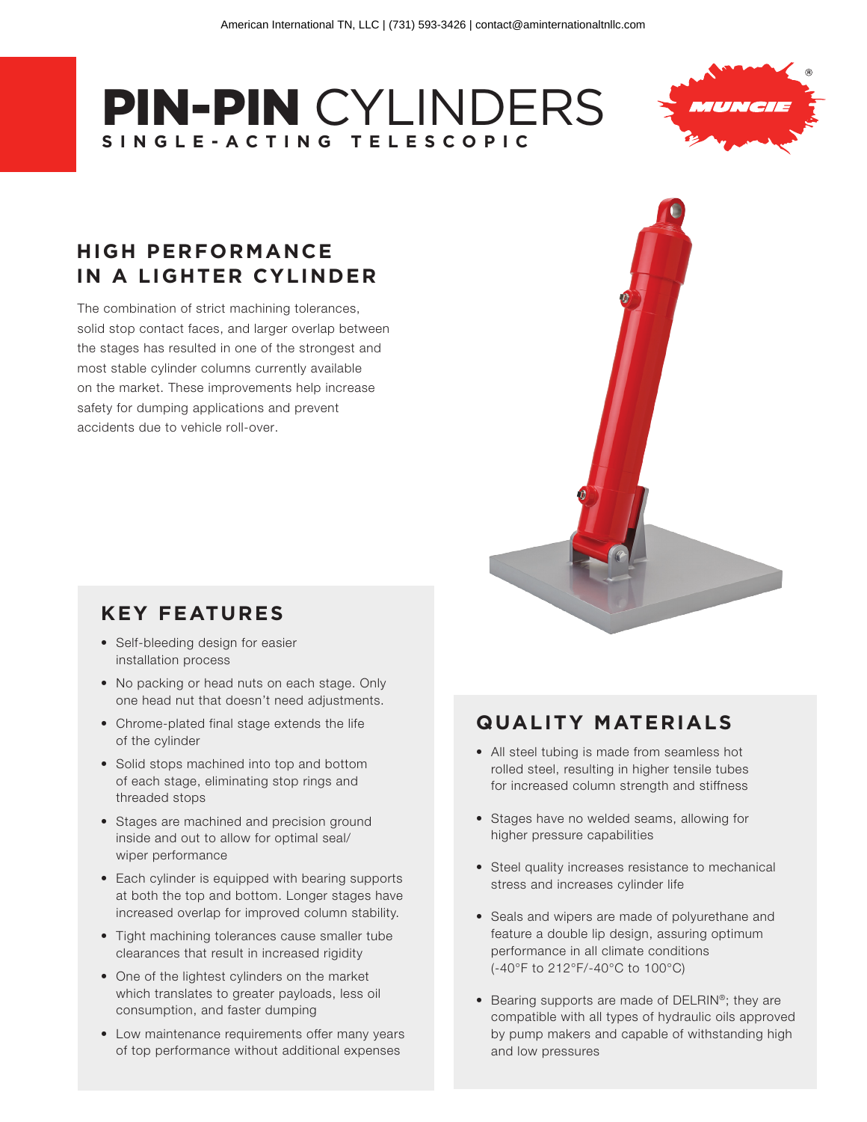# PIN-PIN CYLINDERS **SINGLE-ACTING TELESCOPIC**



# **HIGH PERFORMANCE IN A LIGHTER CYLINDER**

The combination of strict machining tolerances, solid stop contact faces, and larger overlap between the stages has resulted in one of the strongest and most stable cylinder columns currently available on the market. These improvements help increase safety for dumping applications and prevent accidents due to vehicle roll-over.

# **KEY FEATURES**

- Self-bleeding design for easier installation process
- No packing or head nuts on each stage. Only one head nut that doesn't need adjustments.
- Chrome-plated final stage extends the life of the cylinder
- Solid stops machined into top and bottom of each stage, eliminating stop rings and threaded stops
- Stages are machined and precision ground inside and out to allow for optimal seal/ wiper performance
- Each cylinder is equipped with bearing supports at both the top and bottom. Longer stages have increased overlap for improved column stability.
- Tight machining tolerances cause smaller tube clearances that result in increased rigidity
- One of the lightest cylinders on the market which translates to greater payloads, less oil consumption, and faster dumping
- Low maintenance requirements offer many years of top performance without additional expenses



# **QUALITY MATERIALS**

- All steel tubing is made from seamless hot rolled steel, resulting in higher tensile tubes for increased column strength and stiffness
- Stages have no welded seams, allowing for higher pressure capabilities
- Steel quality increases resistance to mechanical stress and increases cylinder life
- Seals and wipers are made of polyurethane and feature a double lip design, assuring optimum performance in all climate conditions (-40°F to 212°F/-40°C to 100°C)
- Bearing supports are made of DELRIN®; they are compatible with all types of hydraulic oils approved by pump makers and capable of withstanding high and low pressures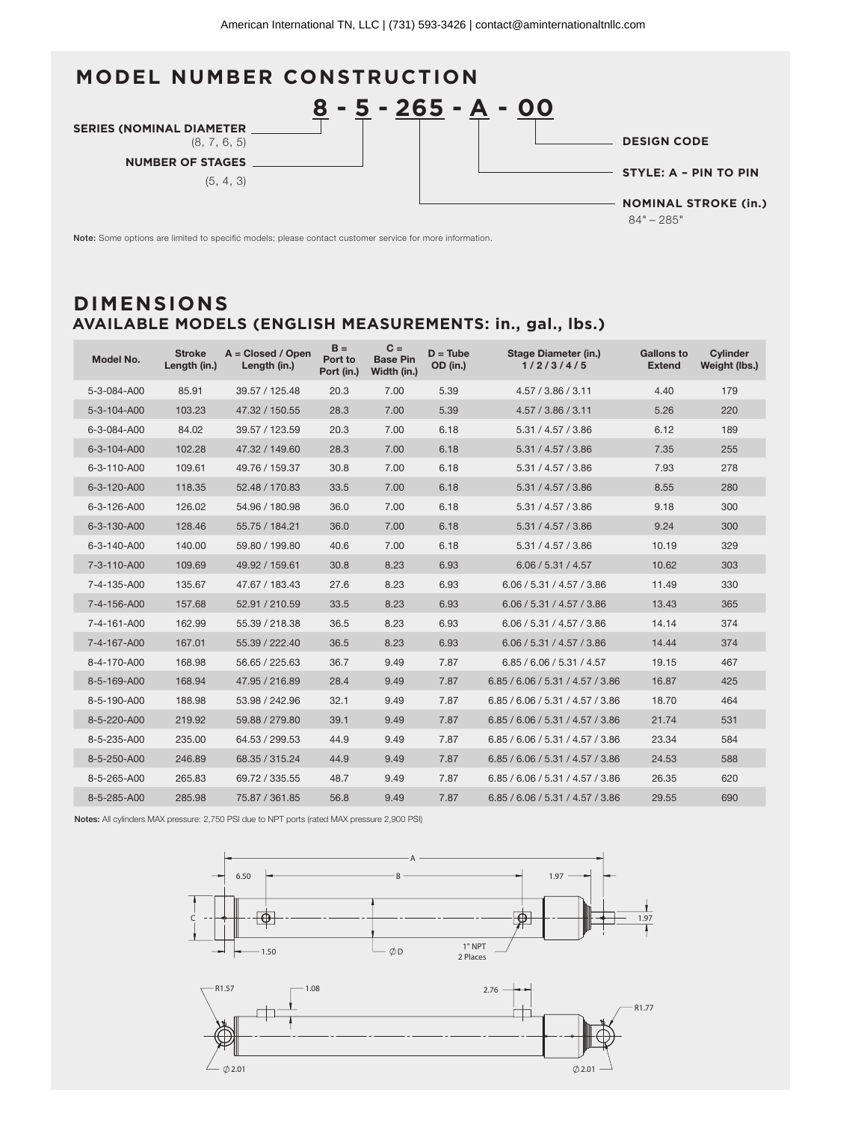

Note: Some options are limited to specific models; please contact customer service for more information.

#### **AVAILABLE MODELS (ENGLISH MEASUREMENTS: in., gal., lbs.) DIMENSIONS**

| Model No.   | <b>Stroke</b><br>Length (in.) | $A = Closed / Open$<br>Length (in.) | $B =$<br>Port to<br>Port (in.) | $C =$<br><b>Base Pin</b><br>Width (in.) | $D = Tub$<br>OD (in.) | <b>Stage Diameter (in.)</b><br>1/2/3/4/5 | <b>Gallons to</b><br><b>Extend</b> | Cylinder<br>Weight (lbs.) |
|-------------|-------------------------------|-------------------------------------|--------------------------------|-----------------------------------------|-----------------------|------------------------------------------|------------------------------------|---------------------------|
| 5-3-084-A00 | 85.91                         | 39.57 / 125.48                      | 20.3                           | 7.00                                    | 5.39                  | 4.57 / 3.86 / 3.11                       | 4.40                               | 179                       |
| 5-3-104-A00 | 103.23                        | 47.32 / 150.55                      | 28.3                           | 7.00                                    | 5.39                  | 4.57 / 3.86 / 3.11                       | 5.26                               | 220                       |
| 6-3-084-A00 | 84.02                         | 39.57 / 123.59                      | 20.3                           | 7.00                                    | 6.18                  | 5.31 / 4.57 / 3.86                       | 6.12                               | 189                       |
| 6-3-104-A00 | 102.28                        | 47.32 / 149.60                      | 28.3                           | 7.00                                    | 6.18                  | 5.31 / 4.57 / 3.86                       | 7.35                               | 255                       |
| 6-3-110-A00 | 109.61                        | 49.76 / 159.37                      | 30.8                           | 7.00                                    | 6.18                  | 5.31 / 4.57 / 3.86                       | 7.93                               | 278                       |
| 6-3-120-A00 | 118.35                        | 52.48 / 170.83                      | 33.5                           | 7.00                                    | 6.18                  | 5.31 / 4.57 / 3.86                       | 8.55                               | 280                       |
| 6-3-126-A00 | 126.02                        | 54.96 / 180.98                      | 36.0                           | 7.00                                    | 6.18                  | 5.31 / 4.57 / 3.86                       | 9.18                               | 300                       |
| 6-3-130-A00 | 128.46                        | 55.75 / 184.21                      | 36.0                           | 7.00                                    | 6.18                  | 5.31 / 4.57 / 3.86                       | 9.24                               | 300                       |
| 6-3-140-A00 | 140.00                        | 59.80 / 199.80                      | 40.6                           | 7.00                                    | 6.18                  | 5.31 / 4.57 / 3.86                       | 10.19                              | 329                       |
| 7-3-110-A00 | 109.69                        | 49.92 / 159.61                      | 30.8                           | 8.23                                    | 6.93                  | 6.06 / 5.31 / 4.57                       | 10.62                              | 303                       |
| 7-4-135-A00 | 135.67                        | 47.67 / 183.43                      | 27.6                           | 8.23                                    | 6.93                  | 6.06 / 5.31 / 4.57 / 3.86                | 11.49                              | 330                       |
| 7-4-156-A00 | 157.68                        | 52.91 / 210.59                      | 33.5                           | 8.23                                    | 6.93                  | 6.06 / 5.31 / 4.57 / 3.86                | 13.43                              | 365                       |
| 7-4-161-A00 | 162.99                        | 55.39 / 218.38                      | 36.5                           | 8.23                                    | 6.93                  | 6.06 / 5.31 / 4.57 / 3.86                | 14.14                              | 374                       |
| 7-4-167-A00 | 167.01                        | 55.39 / 222.40                      | 36.5                           | 8.23                                    | 6.93                  | 6.06 / 5.31 / 4.57 / 3.86                | 14.44                              | 374                       |
| 8-4-170-A00 | 168.98                        | 56.65 / 225.63                      | 36.7                           | 9.49                                    | 7.87                  | 6.85 / 6.06 / 5.31 / 4.57                | 19.15                              | 467                       |
| 8-5-169-A00 | 168.94                        | 47.95 / 216.89                      | 28.4                           | 9.49                                    | 7.87                  | 6.85 / 6.06 / 5.31 / 4.57 / 3.86         | 16.87                              | 425                       |
| 8-5-190-A00 | 188.98                        | 53.98 / 242.96                      | 32.1                           | 9.49                                    | 7.87                  | 6.85 / 6.06 / 5.31 / 4.57 / 3.86         | 18.70                              | 464                       |
| 8-5-220-A00 | 219.92                        | 59.88 / 279.80                      | 39.1                           | 9.49                                    | 7.87                  | 6.85 / 6.06 / 5.31 / 4.57 / 3.86         | 21.74                              | 531                       |
| 8-5-235-A00 | 235.00                        | 64.53 / 299.53                      | 44.9                           | 9.49                                    | 7.87                  | 6.85 / 6.06 / 5.31 / 4.57 / 3.86         | 23.34                              | 584                       |
| 8-5-250-A00 | 246.89                        | 68.35 / 315.24                      | 44.9                           | 9.49                                    | 7.87                  | 6.85 / 6.06 / 5.31 / 4.57 / 3.86         | 24.53                              | 588                       |
| 8-5-265-A00 | 265.83                        | 69.72 / 335.55                      | 48.7                           | 9.49                                    | 7.87                  | 6.85 / 6.06 / 5.31 / 4.57 / 3.86         | 26.35                              | 620                       |
| 8-5-285-A00 | 285.98                        | 75.87 / 361.85                      | 56.8                           | 9.49                                    | 7.87                  | 6.85 / 6.06 / 5.31 / 4.57 / 3.86         | 29.55                              | 690                       |

Notes: All cylinders MAX pressure: 2,750 PSI due to NPT ports (rated MAX pressure 2,900 PSI)